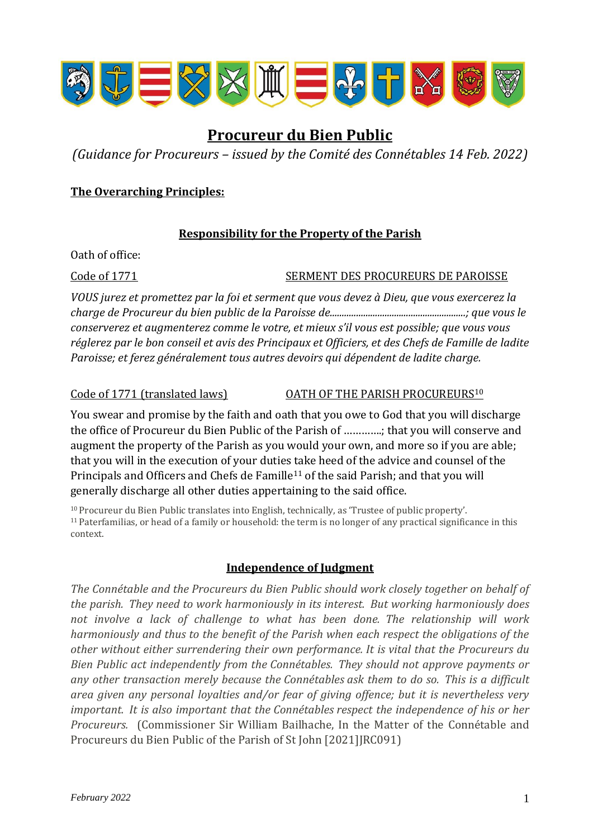

# **Procureur du Bien Public**

*(Guidance for Procureurs – issued by the Comité des Connétables 14 Feb. 2022)*

## **The Overarching Principles:**

### **Responsibility for the Property of the Parish**

Oath of office:

### Code of 1771 SERMENT DES PROCUREURS DE PAROISSE

*VOUS jurez et promettez par la foi et serment que vous devez à Dieu, que vous exercerez la charge de Procureur du bien public de la Paroisse de.........................................................; que vous le conserverez et augmenterez comme le votre, et mieux s'il vous est possible; que vous vous réglerez par le bon conseil et avis des Principaux et Officiers, et des Chefs de Famille de ladite Paroisse; et ferez généralement tous autres devoirs qui dépendent de ladite charge.*

Code of 1771 (translated laws) OATH OF THE PARISH PROCUREURS<sup>10</sup>

You swear and promise by the faith and oath that you owe to God that you will discharge the office of Procureur du Bien Public of the Parish of ………….; that you will conserve and augment the property of the Parish as you would your own, and more so if you are able; that you will in the execution of your duties take heed of the advice and counsel of the Principals and Officers and Chefs de Famille<sup>11</sup> of the said Parish; and that you will generally discharge all other duties appertaining to the said office.

<sup>10</sup>Procureur du Bien Public translates into English, technically, as 'Trustee of public property'. <sup>11</sup>Paterfamilias, or head of a family or household: the term is no longer of any practical significance in this context.

## **Independence of Judgment**

*The Connétable and the Procureurs du Bien Public should work closely together on behalf of the parish. They need to work harmoniously in its interest. But working harmoniously does not involve a lack of challenge to what has been done. The relationship will work harmoniously and thus to the benefit of the Parish when each respect the obligations of the other without either surrendering their own performance. It is vital that the Procureurs du Bien Public act independently from the Connétables. They should not approve payments or any other transaction merely because the Connétables ask them to do so. This is a difficult area given any personal loyalties and/or fear of giving offence; but it is nevertheless very important. It is also important that the Connétables respect the independence of his or her Procureurs.* (Commissioner Sir William Bailhache, In the Matter of the Connétable and Procureurs du Bien Public of the Parish of St John [2021]JRC091)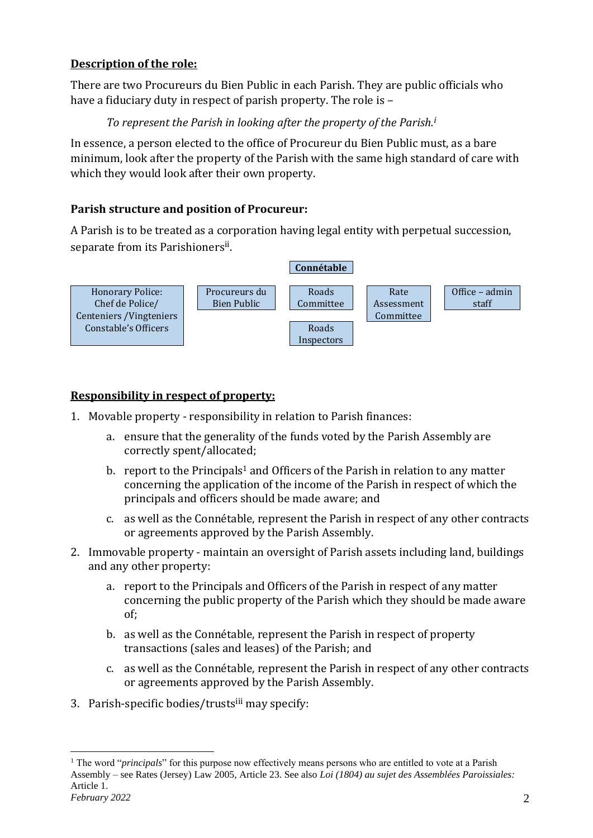## **Description of the role:**

There are two Procureurs du Bien Public in each Parish. They are public officials who have a fiduciary duty in respect of parish property. The role is –

## *To represent the Parish in looking after the property of the Parish.<sup>i</sup>*

In essence, a person elected to the office of Procureur du Bien Public must, as a bare minimum, look after the property of the Parish with the same high standard of care with which they would look after their own property.

## **Parish structure and position of Procureur:**

A Parish is to be treated as a corporation having legal entity with perpetual succession, separate from its Parishioners<sup>ii</sup>.



## **Responsibility in respect of property:**

- 1. Movable property responsibility in relation to Parish finances:
	- a. ensure that the generality of the funds voted by the Parish Assembly are correctly spent/allocated;
	- b. report to the Principals<sup>1</sup> and Officers of the Parish in relation to any matter concerning the application of the income of the Parish in respect of which the principals and officers should be made aware; and
	- c. as well as the Connétable, represent the Parish in respect of any other contracts or agreements approved by the Parish Assembly.
- 2. Immovable property maintain an oversight of Parish assets including land, buildings and any other property:
	- a. report to the Principals and Officers of the Parish in respect of any matter concerning the public property of the Parish which they should be made aware of;
	- b. as well as the Connétable, represent the Parish in respect of property transactions (sales and leases) of the Parish; and
	- c. as well as the Connétable, represent the Parish in respect of any other contracts or agreements approved by the Parish Assembly.
- 3. Parish-specific bodies/trustsiii may specify:

*February 2022* 2 <sup>1</sup> The word "*principals*" for this purpose now effectively means persons who are entitled to vote at a Parish Assembly – see Rates (Jersey) Law 2005, Article 23. See also *Loi (1804) au sujet des Assemblées Paroissiales:*  Article 1.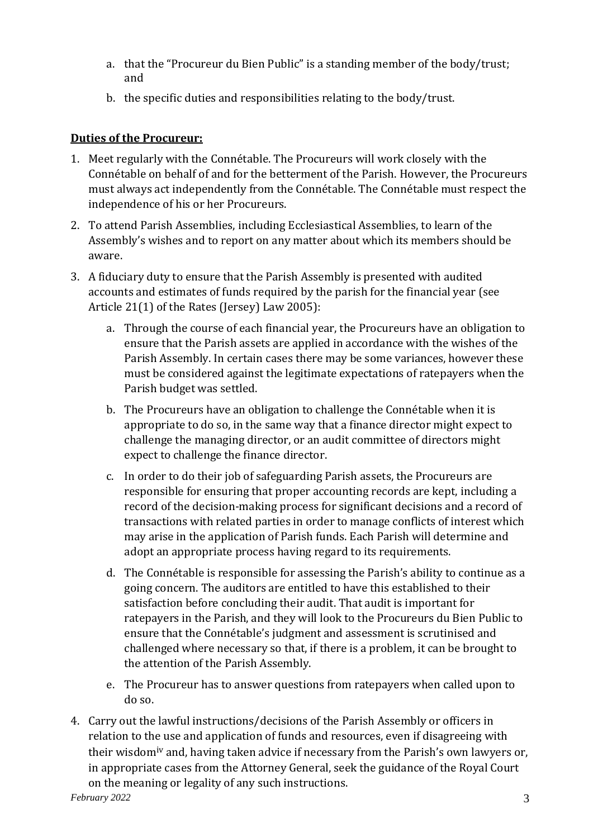- a. that the "Procureur du Bien Public" is a standing member of the body/trust; and
- b. the specific duties and responsibilities relating to the body/trust.

## **Duties of the Procureur:**

- 1. Meet regularly with the Connétable. The Procureurs will work closely with the Connétable on behalf of and for the betterment of the Parish. However, the Procureurs must always act independently from the Connétable. The Connétable must respect the independence of his or her Procureurs.
- 2. To attend Parish Assemblies, including Ecclesiastical Assemblies, to learn of the Assembly's wishes and to report on any matter about which its members should be aware.
- 3. A fiduciary duty to ensure that the Parish Assembly is presented with audited accounts and estimates of funds required by the parish for the financial year (see Article 21(1) of the Rates (Jersey) Law 2005):
	- a. Through the course of each financial year, the Procureurs have an obligation to ensure that the Parish assets are applied in accordance with the wishes of the Parish Assembly. In certain cases there may be some variances, however these must be considered against the legitimate expectations of ratepayers when the Parish budget was settled.
	- b. The Procureurs have an obligation to challenge the Connétable when it is appropriate to do so, in the same way that a finance director might expect to challenge the managing director, or an audit committee of directors might expect to challenge the finance director.
	- c. In order to do their job of safeguarding Parish assets, the Procureurs are responsible for ensuring that proper accounting records are kept, including a record of the decision-making process for significant decisions and a record of transactions with related parties in order to manage conflicts of interest which may arise in the application of Parish funds. Each Parish will determine and adopt an appropriate process having regard to its requirements.
	- d. The Connétable is responsible for assessing the Parish's ability to continue as a going concern. The auditors are entitled to have this established to their satisfaction before concluding their audit. That audit is important for ratepayers in the Parish, and they will look to the Procureurs du Bien Public to ensure that the Connétable's judgment and assessment is scrutinised and challenged where necessary so that, if there is a problem, it can be brought to the attention of the Parish Assembly.
	- e. The Procureur has to answer questions from ratepayers when called upon to do so.
- February 2022 3 4. Carry out the lawful instructions/decisions of the Parish Assembly or officers in relation to the use and application of funds and resources, even if disagreeing with their wisdom<sup>iv</sup> and, having taken advice if necessary from the Parish's own lawyers or, in appropriate cases from the Attorney General, seek the guidance of the Royal Court on the meaning or legality of any such instructions.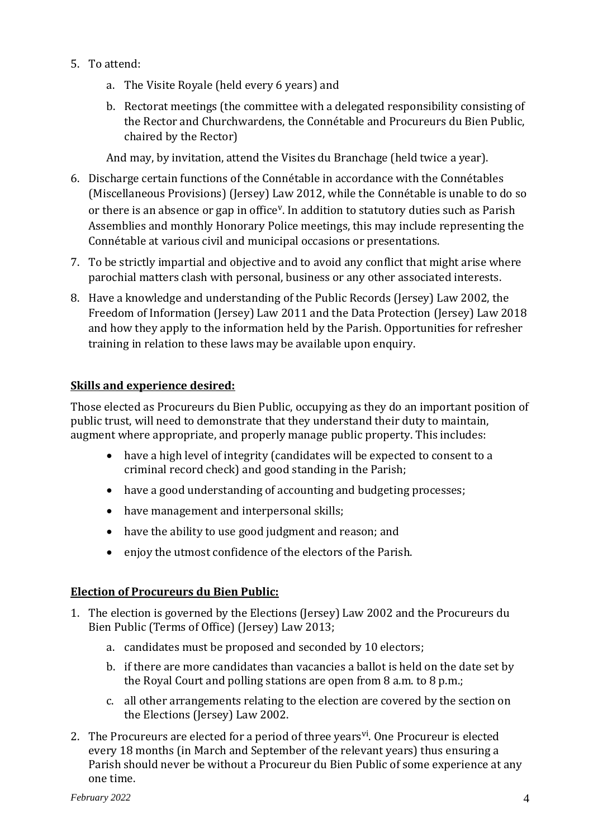- 5. To attend:
	- a. The Visite Royale (held every 6 years) and
	- b. Rectorat meetings (the committee with a delegated responsibility consisting of the Rector and Churchwardens, the Connétable and Procureurs du Bien Public, chaired by the Rector)

And may, by invitation, attend the Visites du Branchage (held twice a year).

- 6. Discharge certain functions of the Connétable in accordance with the Connétables (Miscellaneous Provisions) (Jersey) Law 2012, while the Connétable is unable to do so or there is an absence or gap in office<sup>v</sup>. In addition to statutory duties such as Parish Assemblies and monthly Honorary Police meetings, this may include representing the Connétable at various civil and municipal occasions or presentations.
- 7. To be strictly impartial and objective and to avoid any conflict that might arise where parochial matters clash with personal, business or any other associated interests.
- 8. Have a knowledge and understanding of the Public Records (Jersey) Law 2002, the Freedom of Information (Jersey) Law 2011 and the Data Protection (Jersey) Law 2018 and how they apply to the information held by the Parish. Opportunities for refresher training in relation to these laws may be available upon enquiry.

## **Skills and experience desired:**

Those elected as Procureurs du Bien Public, occupying as they do an important position of public trust, will need to demonstrate that they understand their duty to maintain, augment where appropriate, and properly manage public property. This includes:

- have a high level of integrity (candidates will be expected to consent to a criminal record check) and good standing in the Parish;
- have a good understanding of accounting and budgeting processes;
- have management and interpersonal skills;
- have the ability to use good judgment and reason; and
- enjoy the utmost confidence of the electors of the Parish.

### **Election of Procureurs du Bien Public:**

- 1. The election is governed by the Elections (Jersey) Law 2002 and the Procureurs du Bien Public (Terms of Office) (Jersey) Law 2013;
	- a. candidates must be proposed and seconded by 10 electors;
	- b. if there are more candidates than vacancies a ballot is held on the date set by the Royal Court and polling stations are open from 8 a.m. to 8 p.m.;
	- c. all other arrangements relating to the election are covered by the section on the Elections (Jersey) Law 2002.
- 2. The Procureurs are elected for a period of three years<sup>yi</sup>. One Procureur is elected every 18 months (in March and September of the relevant years) thus ensuring a Parish should never be without a Procureur du Bien Public of some experience at any one time.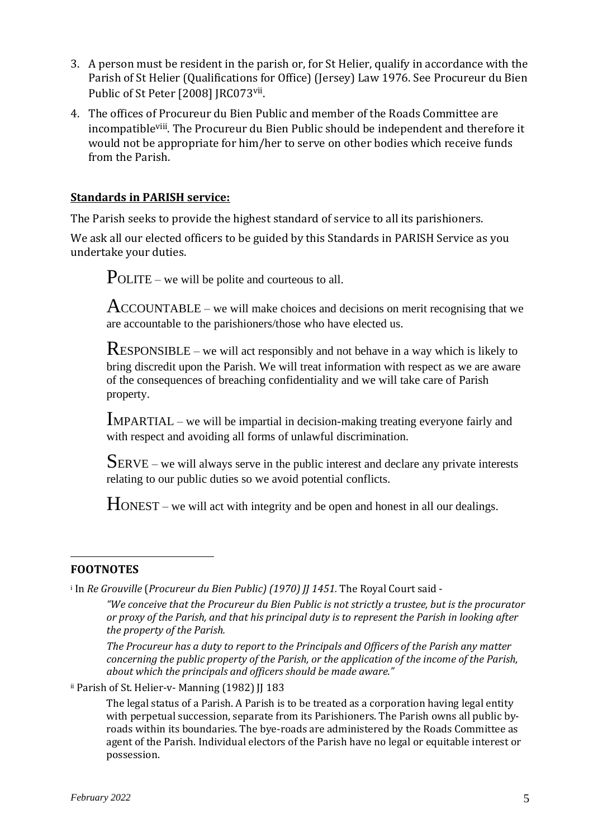- 3. A person must be resident in the parish or, for St Helier, qualify in accordance with the Parish of St Helier (Qualifications for Office) (Jersey) Law 1976. See Procureur du Bien Public of St Peter [2008] JRC073vii.
- 4. The offices of Procureur du Bien Public and member of the Roads Committee are incompatibleviii. The Procureur du Bien Public should be independent and therefore it would not be appropriate for him/her to serve on other bodies which receive funds from the Parish.

## **Standards in PARISH service:**

The Parish seeks to provide the highest standard of service to all its parishioners.

We ask all our elected officers to be guided by this Standards in PARISH Service as you undertake your duties.

POLITE – we will be polite and courteous to all.

ACCOUNTABLE – we will make choices and decisions on merit recognising that we are accountable to the parishioners/those who have elected us.

RESPONSIBLE – we will act responsibly and not behave in a way which is likely to bring discredit upon the Parish. We will treat information with respect as we are aware of the consequences of breaching confidentiality and we will take care of Parish property.

IMPARTIAL – we will be impartial in decision-making treating everyone fairly and with respect and avoiding all forms of unlawful discrimination.

SERVE – we will always serve in the public interest and declare any private interests relating to our public duties so we avoid potential conflicts.

HONEST – we will act with integrity and be open and honest in all our dealings.

### **FOOTNOTES**

<sup>i</sup> In *Re Grouville* (*Procureur du Bien Public) (1970) JJ 1451.* The Royal Court said -

*"We conceive that the Procureur du Bien Public is not strictly a trustee, but is the procurator or proxy of the Parish, and that his principal duty is to represent the Parish in looking after the property of the Parish.* 

*The Procureur has a duty to report to the Principals and Officers of the Parish any matter concerning the public property of the Parish, or the application of the income of the Parish, about which the principals and officers should be made aware."*

ii Parish of St. Helier-v- Manning (1982) JJ 183

The legal status of a Parish. A Parish is to be treated as a corporation having legal entity with perpetual succession, separate from its Parishioners. The Parish owns all public byroads within its boundaries. The bye-roads are administered by the Roads Committee as agent of the Parish. Individual electors of the Parish have no legal or equitable interest or possession.